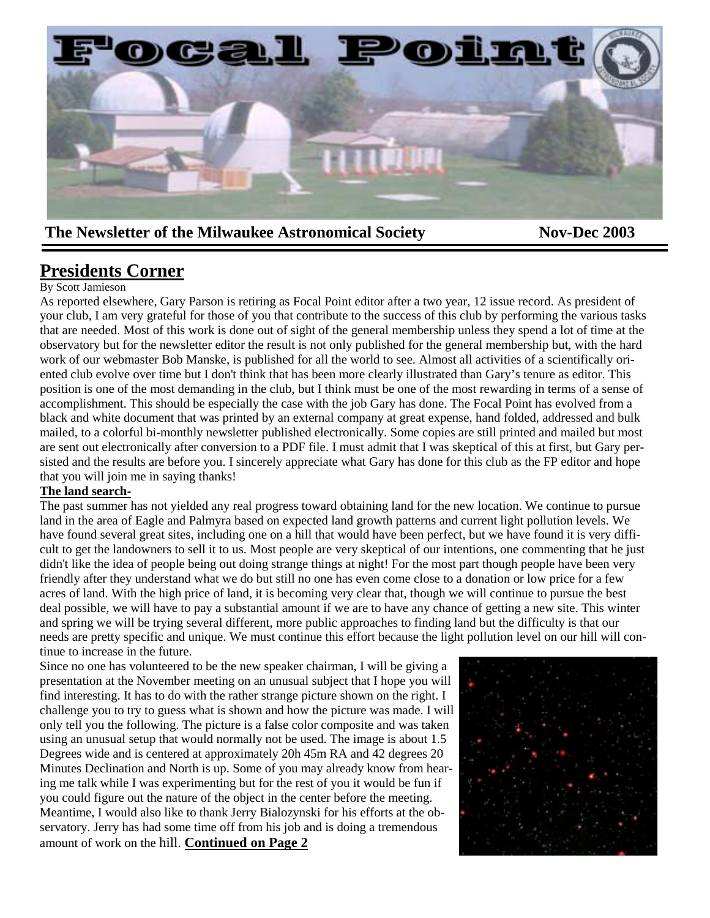

**The Newsletter of the Milwaukee Astronomical Society Nov-Dec 2003** 

# **Presidents Corner**

## By Scott Jamieson

As reported elsewhere, Gary Parson is retiring as Focal Point editor after a two year, 12 issue record. As president of your club, I am very grateful for those of you that contribute to the success of this club by performing the various tasks that are needed. Most of this work is done out of sight of the general membership unless they spend a lot of time at the observatory but for the newsletter editor the result is not only published for the general membership but, with the hard work of our webmaster Bob Manske, is published for all the world to see. Almost all activities of a scientifically oriented club evolve over time but I don't think that has been more clearly illustrated than Gary's tenure as editor. This position is one of the most demanding in the club, but I think must be one of the most rewarding in terms of a sense of accomplishment. This should be especially the case with the job Gary has done. The Focal Point has evolved from a black and white document that was printed by an external company at great expense, hand folded, addressed and bulk mailed, to a colorful bi-monthly newsletter published electronically. Some copies are still printed and mailed but most are sent out electronically after conversion to a PDF file. I must admit that I was skeptical of this at first, but Gary persisted and the results are before you. I sincerely appreciate what Gary has done for this club as the FP editor and hope that you will join me in saying thanks!

## **The land search-**

The past summer has not yielded any real progress toward obtaining land for the new location. We continue to pursue land in the area of Eagle and Palmyra based on expected land growth patterns and current light pollution levels. We have found several great sites, including one on a hill that would have been perfect, but we have found it is very difficult to get the landowners to sell it to us. Most people are very skeptical of our intentions, one commenting that he just didn't like the idea of people being out doing strange things at night! For the most part though people have been very friendly after they understand what we do but still no one has even come close to a donation or low price for a few acres of land. With the high price of land, it is becoming very clear that, though we will continue to pursue the best deal possible, we will have to pay a substantial amount if we are to have any chance of getting a new site. This winter and spring we will be trying several different, more public approaches to finding land but the difficulty is that our needs are pretty specific and unique. We must continue this effort because the light pollution level on our hill will continue to increase in the future.

Since no one has volunteered to be the new speaker chairman, I will be giving a presentation at the November meeting on an unusual subject that I hope you will find interesting. It has to do with the rather strange picture shown on the right. I challenge you to try to guess what is shown and how the picture was made. I will only tell you the following. The picture is a false color composite and was taken using an unusual setup that would normally not be used. The image is about 1.5 Degrees wide and is centered at approximately 20h 45m RA and 42 degrees 20 Minutes Declination and North is up. Some of you may already know from hearing me talk while I was experimenting but for the rest of you it would be fun if you could figure out the nature of the object in the center before the meeting. Meantime, I would also like to thank Jerry Bialozynski for his efforts at the observatory. Jerry has had some time off from his job and is doing a tremendous amount of work on the hill. **Continued on Page 2**

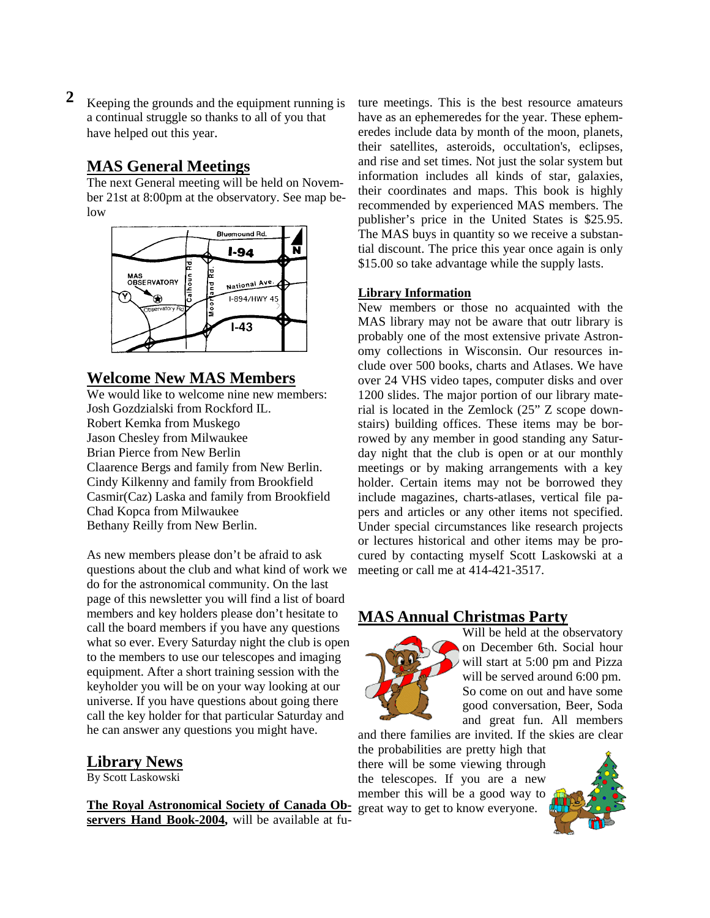**2** Keeping the grounds and the equipment running is a continual struggle so thanks to all of you that have helped out this year.

## **MAS General Meetings**

The next General meeting will be held on November 21st at 8:00pm at the observatory. See map below



## **Welcome New MAS Members**

We would like to welcome nine new members: Josh Gozdzialski from Rockford IL. Robert Kemka from Muskego Jason Chesley from Milwaukee Brian Pierce from New Berlin Claarence Bergs and family from New Berlin. Cindy Kilkenny and family from Brookfield Casmir(Caz) Laska and family from Brookfield Chad Kopca from Milwaukee Bethany Reilly from New Berlin.

As new members please don't be afraid to ask questions about the club and what kind of work we do for the astronomical community. On the last page of this newsletter you will find a list of board members and key holders please don't hesitate to call the board members if you have any questions what so ever. Every Saturday night the club is open to the members to use our telescopes and imaging equipment. After a short training session with the keyholder you will be on your way looking at our universe. If you have questions about going there call the key holder for that particular Saturday and he can answer any questions you might have.

### **Library News**

By Scott Laskowski

The Royal Astronomical Society of Canada Ob- great way to get to know everyone. **servers Hand Book-2004,** will be available at fu-

ture meetings. This is the best resource amateurs have as an ephemeredes for the year. These ephemeredes include data by month of the moon, planets, their satellites, asteroids, occultation's, eclipses, and rise and set times. Not just the solar system but information includes all kinds of star, galaxies, their coordinates and maps. This book is highly recommended by experienced MAS members. The publisher's price in the United States is \$25.95. The MAS buys in quantity so we receive a substantial discount. The price this year once again is only \$15.00 so take advantage while the supply lasts.

#### **Library Information**

New members or those no acquainted with the MAS library may not be aware that outr library is probably one of the most extensive private Astronomy collections in Wisconsin. Our resources include over 500 books, charts and Atlases. We have over 24 VHS video tapes, computer disks and over 1200 slides. The major portion of our library material is located in the Zemlock (25" Z scope downstairs) building offices. These items may be borrowed by any member in good standing any Saturday night that the club is open or at our monthly meetings or by making arrangements with a key holder. Certain items may not be borrowed they include magazines, charts-atlases, vertical file papers and articles or any other items not specified. Under special circumstances like research projects or lectures historical and other items may be procured by contacting myself Scott Laskowski at a meeting or call me at 414-421-3517.

## **MAS Annual Christmas Party**



Will be held at the observatory on December 6th. Social hour will start at 5:00 pm and Pizza will be served around 6:00 pm. So come on out and have some good conversation, Beer, Soda and great fun. All members

and there families are invited. If the skies are clear the probabilities are pretty high that there will be some viewing through the telescopes. If you are a new member this will be a good way to

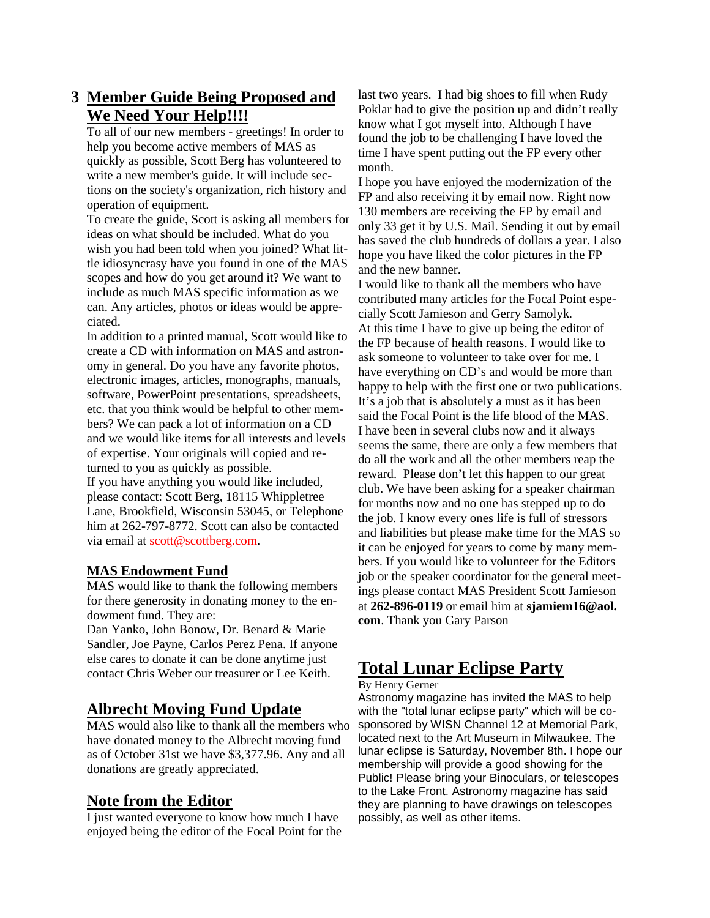# **3 Member Guide Being Proposed and We Need Your Help!!!!**

To all of our new members - greetings! In order to help you become active members of MAS as quickly as possible, Scott Berg has volunteered to write a new member's guide. It will include sections on the society's organization, rich history and operation of equipment.

To create the guide, Scott is asking all members for ideas on what should be included. What do you wish you had been told when you joined? What little idiosyncrasy have you found in one of the MAS scopes and how do you get around it? We want to include as much MAS specific information as we can. Any articles, photos or ideas would be appreciated.

In addition to a printed manual, Scott would like to create a CD with information on MAS and astronomy in general. Do you have any favorite photos, electronic images, articles, monographs, manuals, software, PowerPoint presentations, spreadsheets, etc. that you think would be helpful to other members? We can pack a lot of information on a CD and we would like items for all interests and levels of expertise. Your originals will copied and returned to you as quickly as possible.

If you have anything you would like included, please contact: Scott Berg, 18115 Whippletree Lane, Brookfield, Wisconsin 53045, or Telephone him at 262-797-8772. Scott can also be contacted via email at scott@scottberg.com.

## **MAS Endowment Fund**

MAS would like to thank the following members for there generosity in donating money to the endowment fund. They are:

Dan Yanko, John Bonow, Dr. Benard & Marie Sandler, Joe Payne, Carlos Perez Pena. If anyone else cares to donate it can be done anytime just contact Chris Weber our treasurer or Lee Keith.

# **Albrecht Moving Fund Update**

MAS would also like to thank all the members who have donated money to the Albrecht moving fund as of October 31st we have \$3,377.96. Any and all donations are greatly appreciated.

# **Note from the Editor**

I just wanted everyone to know how much I have enjoyed being the editor of the Focal Point for the last two years. I had big shoes to fill when Rudy Poklar had to give the position up and didn't really know what I got myself into. Although I have found the job to be challenging I have loved the time I have spent putting out the FP every other month.

I hope you have enjoyed the modernization of the FP and also receiving it by email now. Right now 130 members are receiving the FP by email and only 33 get it by U.S. Mail. Sending it out by email has saved the club hundreds of dollars a year. I also hope you have liked the color pictures in the FP and the new banner.

I would like to thank all the members who have contributed many articles for the Focal Point especially Scott Jamieson and Gerry Samolyk. At this time I have to give up being the editor of the FP because of health reasons. I would like to ask someone to volunteer to take over for me. I have everything on CD's and would be more than happy to help with the first one or two publications. It's a job that is absolutely a must as it has been said the Focal Point is the life blood of the MAS. I have been in several clubs now and it always seems the same, there are only a few members that do all the work and all the other members reap the reward. Please don't let this happen to our great club. We have been asking for a speaker chairman for months now and no one has stepped up to do the job. I know every ones life is full of stressors and liabilities but please make time for the MAS so it can be enjoyed for years to come by many members. If you would like to volunteer for the Editors job or the speaker coordinator for the general meetings please contact MAS President Scott Jamieson at **262-896-0119** or email him at **sjamiem16@aol. com**. Thank you Gary Parson

# **Total Lunar Eclipse Party**

## By Henry Gerner

Astronomy magazine has invited the MAS to help with the "total lunar eclipse party" which will be cosponsored by WISN Channel 12 at Memorial Park, located next to the Art Museum in Milwaukee. The lunar eclipse is Saturday, November 8th. I hope our membership will provide a good showing for the Public! Please bring your Binoculars, or telescopes to the Lake Front. Astronomy magazine has said they are planning to have drawings on telescopes possibly, as well as other items.